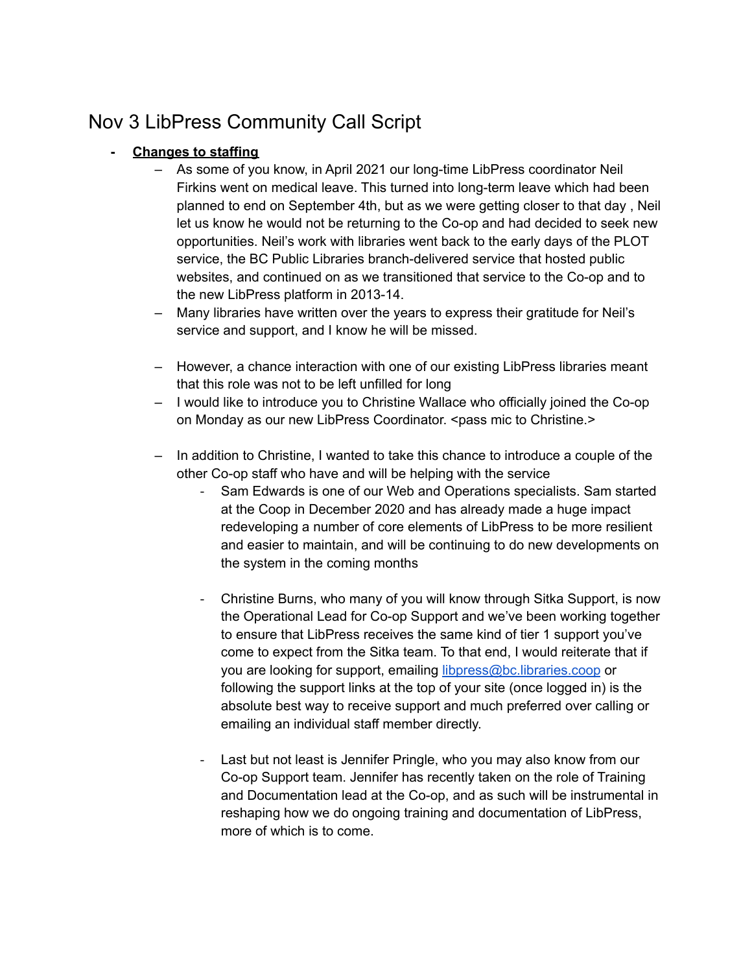# Nov 3 LibPress Community Call Script

# **- Changes to staffing**

- As some of you know, in April 2021 our long-time LibPress coordinator Neil Firkins went on medical leave. This turned into long-term leave which had been planned to end on September 4th, but as we were getting closer to that day , Neil let us know he would not be returning to the Co-op and had decided to seek new opportunities. Neil's work with libraries went back to the early days of the PLOT service, the BC Public Libraries branch-delivered service that hosted public websites, and continued on as we transitioned that service to the Co-op and to the new LibPress platform in 2013-14.
- Many libraries have written over the years to express their gratitude for Neil's service and support, and I know he will be missed.
- However, a chance interaction with one of our existing LibPress libraries meant that this role was not to be left unfilled for long
- I would like to introduce you to Christine Wallace who officially joined the Co-op on Monday as our new LibPress Coordinator. <pass mic to Christine.>
- In addition to Christine, I wanted to take this chance to introduce a couple of the other Co-op staff who have and will be helping with the service
	- Sam Edwards is one of our Web and Operations specialists. Sam started at the Coop in December 2020 and has already made a huge impact redeveloping a number of core elements of LibPress to be more resilient and easier to maintain, and will be continuing to do new developments on the system in the coming months
	- ‐ Christine Burns, who many of you will know through Sitka Support, is now the Operational Lead for Co-op Support and we've been working together to ensure that LibPress receives the same kind of tier 1 support you've come to expect from the Sitka team. To that end, I would reiterate that if you are looking for support, emailing [libpress@bc.libraries.coop](mailto:libpress@bc.libraries.coop) or following the support links at the top of your site (once logged in) is the absolute best way to receive support and much preferred over calling or emailing an individual staff member directly.
	- Last but not least is Jennifer Pringle, who you may also know from our Co-op Support team. Jennifer has recently taken on the role of Training and Documentation lead at the Co-op, and as such will be instrumental in reshaping how we do ongoing training and documentation of LibPress, more of which is to come.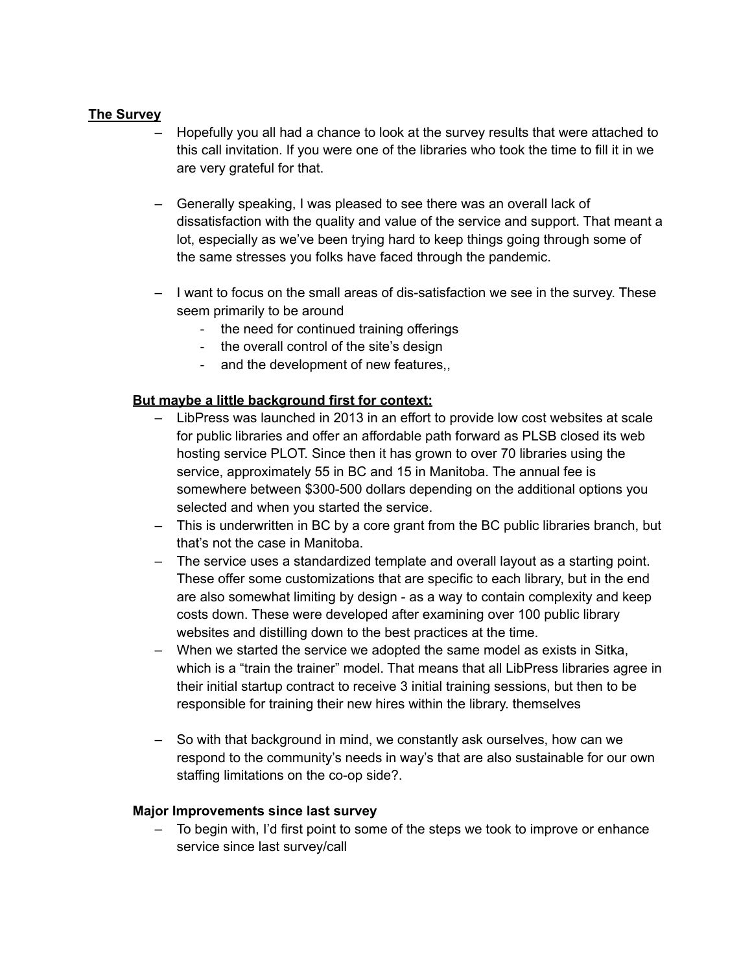## **The Survey**

- Hopefully you all had a chance to look at the survey results that were attached to this call invitation. If you were one of the libraries who took the time to fill it in we are very grateful for that.
- Generally speaking, I was pleased to see there was an overall lack of dissatisfaction with the quality and value of the service and support. That meant a lot, especially as we've been trying hard to keep things going through some of the same stresses you folks have faced through the pandemic.
- I want to focus on the small areas of dis-satisfaction we see in the survey. These seem primarily to be around
	- ‐ the need for continued training offerings
	- ‐ the overall control of the site's design
	- ‐ and the development of new features,,

## **But maybe a little background first for context:**

- LibPress was launched in 2013 in an effort to provide low cost websites at scale for public libraries and offer an affordable path forward as PLSB closed its web hosting service PLOT. Since then it has grown to over 70 libraries using the service, approximately 55 in BC and 15 in Manitoba. The annual fee is somewhere between \$300-500 dollars depending on the additional options you selected and when you started the service.
- This is underwritten in BC by a core grant from the BC public libraries branch, but that's not the case in Manitoba.
- The service uses a standardized template and overall layout as a starting point. These offer some customizations that are specific to each library, but in the end are also somewhat limiting by design - as a way to contain complexity and keep costs down. These were developed after examining over 100 public library websites and distilling down to the best practices at the time.
- When we started the service we adopted the same model as exists in Sitka, which is a "train the trainer" model. That means that all LibPress libraries agree in their initial startup contract to receive 3 initial training sessions, but then to be responsible for training their new hires within the library. themselves
- So with that background in mind, we constantly ask ourselves, how can we respond to the community's needs in way's that are also sustainable for our own staffing limitations on the co-op side?.

## **Major Improvements since last survey**

– To begin with, I'd first point to some of the steps we took to improve or enhance service since last survey/call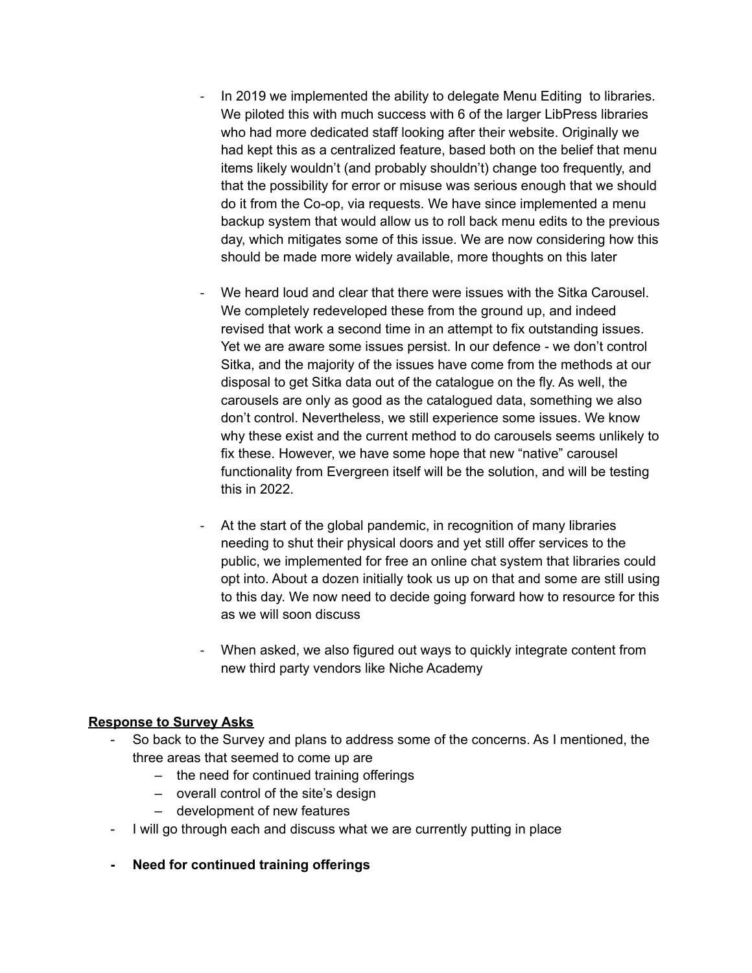- In 2019 we implemented the ability to delegate Menu Editing to libraries. We piloted this with much success with 6 of the larger LibPress libraries who had more dedicated staff looking after their website. Originally we had kept this as a centralized feature, based both on the belief that menu items likely wouldn't (and probably shouldn't) change too frequently, and that the possibility for error or misuse was serious enough that we should do it from the Co-op, via requests. We have since implemented a menu backup system that would allow us to roll back menu edits to the previous day, which mitigates some of this issue. We are now considering how this should be made more widely available, more thoughts on this later
- We heard loud and clear that there were issues with the Sitka Carousel. We completely redeveloped these from the ground up, and indeed revised that work a second time in an attempt to fix outstanding issues. Yet we are aware some issues persist. In our defence - we don't control Sitka, and the majority of the issues have come from the methods at our disposal to get Sitka data out of the catalogue on the fly. As well, the carousels are only as good as the catalogued data, something we also don't control. Nevertheless, we still experience some issues. We know why these exist and the current method to do carousels seems unlikely to fix these. However, we have some hope that new "native" carousel functionality from Evergreen itself will be the solution, and will be testing this in 2022.
- At the start of the global pandemic, in recognition of many libraries needing to shut their physical doors and yet still offer services to the public, we implemented for free an online chat system that libraries could opt into. About a dozen initially took us up on that and some are still using to this day. We now need to decide going forward how to resource for this as we will soon discuss
- ‐ When asked, we also figured out ways to quickly integrate content from new third party vendors like Niche Academy

## **Response to Survey Asks**

- So back to the Survey and plans to address some of the concerns. As I mentioned, the three areas that seemed to come up are
	- the need for continued training offerings
	- overall control of the site's design
	- development of new features
- I will go through each and discuss what we are currently putting in place
- **- Need for continued training offerings**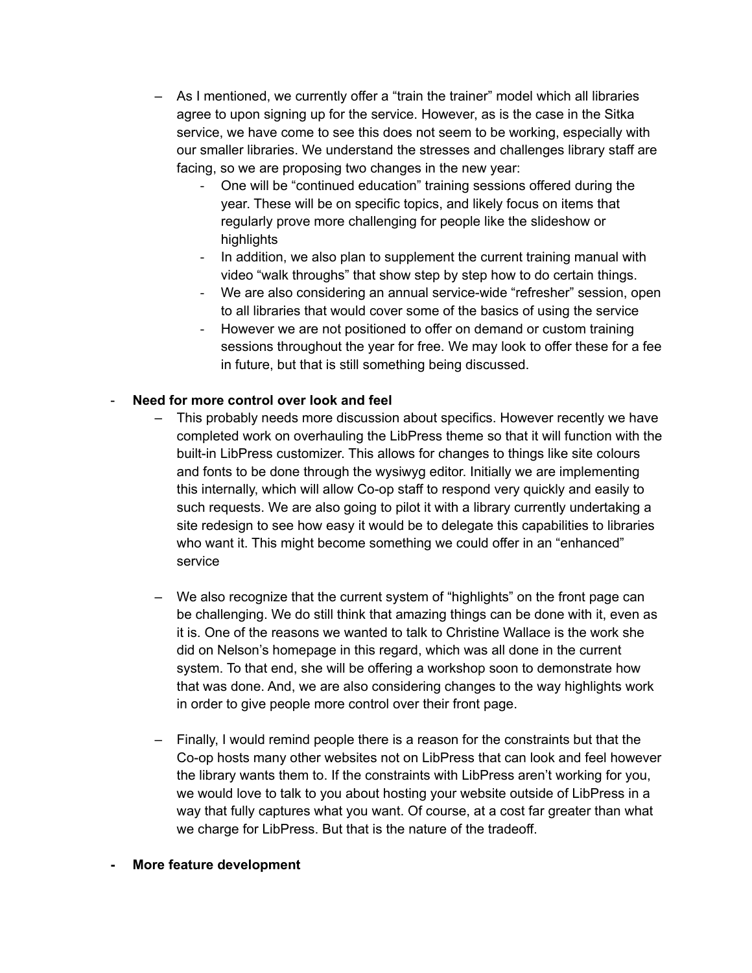- As I mentioned, we currently offer a "train the trainer" model which all libraries agree to upon signing up for the service. However, as is the case in the Sitka service, we have come to see this does not seem to be working, especially with our smaller libraries. We understand the stresses and challenges library staff are facing, so we are proposing two changes in the new year:
	- ‐ One will be "continued education" training sessions offered during the year. These will be on specific topics, and likely focus on items that regularly prove more challenging for people like the slideshow or highlights
	- In addition, we also plan to supplement the current training manual with video "walk throughs" that show step by step how to do certain things.
	- ‐ We are also considering an annual service-wide "refresher" session, open to all libraries that would cover some of the basics of using the service
	- ‐ However we are not positioned to offer on demand or custom training sessions throughout the year for free. We may look to offer these for a fee in future, but that is still something being discussed.

# - **Need for more control over look and feel**

- This probably needs more discussion about specifics. However recently we have completed work on overhauling the LibPress theme so that it will function with the built-in LibPress customizer. This allows for changes to things like site colours and fonts to be done through the wysiwyg editor. Initially we are implementing this internally, which will allow Co-op staff to respond very quickly and easily to such requests. We are also going to pilot it with a library currently undertaking a site redesign to see how easy it would be to delegate this capabilities to libraries who want it. This might become something we could offer in an "enhanced" service
- We also recognize that the current system of "highlights" on the front page can be challenging. We do still think that amazing things can be done with it, even as it is. One of the reasons we wanted to talk to Christine Wallace is the work she did on Nelson's homepage in this regard, which was all done in the current system. To that end, she will be offering a workshop soon to demonstrate how that was done. And, we are also considering changes to the way highlights work in order to give people more control over their front page.
- Finally, I would remind people there is a reason for the constraints but that the Co-op hosts many other websites not on LibPress that can look and feel however the library wants them to. If the constraints with LibPress aren't working for you, we would love to talk to you about hosting your website outside of LibPress in a way that fully captures what you want. Of course, at a cost far greater than what we charge for LibPress. But that is the nature of the tradeoff.

#### **- More feature development**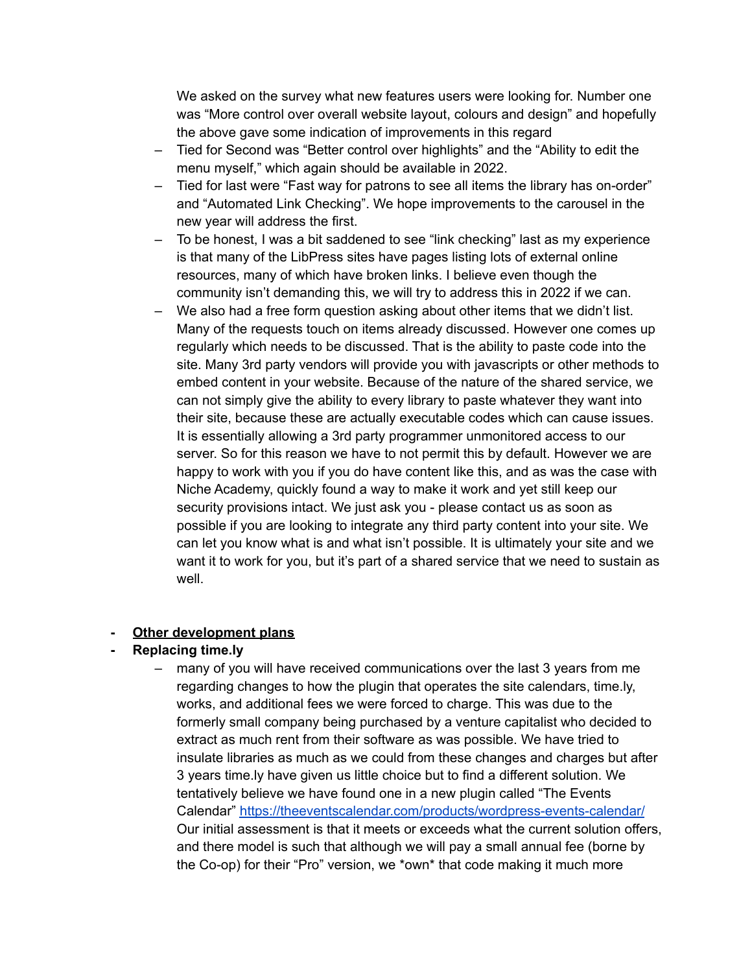We asked on the survey what new features users were looking for. Number one was "More control over overall website layout, colours and design" and hopefully the above gave some indication of improvements in this regard

- Tied for Second was "Better control over highlights" and the "Ability to edit the menu myself," which again should be available in 2022.
- Tied for last were "Fast way for patrons to see all items the library has on-order" and "Automated Link Checking". We hope improvements to the carousel in the new year will address the first.
- To be honest, I was a bit saddened to see "link checking" last as my experience is that many of the LibPress sites have pages listing lots of external online resources, many of which have broken links. I believe even though the community isn't demanding this, we will try to address this in 2022 if we can.
- We also had a free form question asking about other items that we didn't list. Many of the requests touch on items already discussed. However one comes up regularly which needs to be discussed. That is the ability to paste code into the site. Many 3rd party vendors will provide you with javascripts or other methods to embed content in your website. Because of the nature of the shared service, we can not simply give the ability to every library to paste whatever they want into their site, because these are actually executable codes which can cause issues. It is essentially allowing a 3rd party programmer unmonitored access to our server. So for this reason we have to not permit this by default. However we are happy to work with you if you do have content like this, and as was the case with Niche Academy, quickly found a way to make it work and yet still keep our security provisions intact. We just ask you - please contact us as soon as possible if you are looking to integrate any third party content into your site. We can let you know what is and what isn't possible. It is ultimately your site and we want it to work for you, but it's part of a shared service that we need to sustain as well

# **- Other development plans**

# **- Replacing time.ly**

– many of you will have received communications over the last 3 years from me regarding changes to how the plugin that operates the site calendars, time.ly, works, and additional fees we were forced to charge. This was due to the formerly small company being purchased by a venture capitalist who decided to extract as much rent from their software as was possible. We have tried to insulate libraries as much as we could from these changes and charges but after 3 years time.ly have given us little choice but to find a different solution. We tentatively believe we have found one in a new plugin called "The Events Calendar" <https://theeventscalendar.com/products/wordpress-events-calendar/> Our initial assessment is that it meets or exceeds what the current solution offers, and there model is such that although we will pay a small annual fee (borne by the Co-op) for their "Pro" version, we \*own\* that code making it much more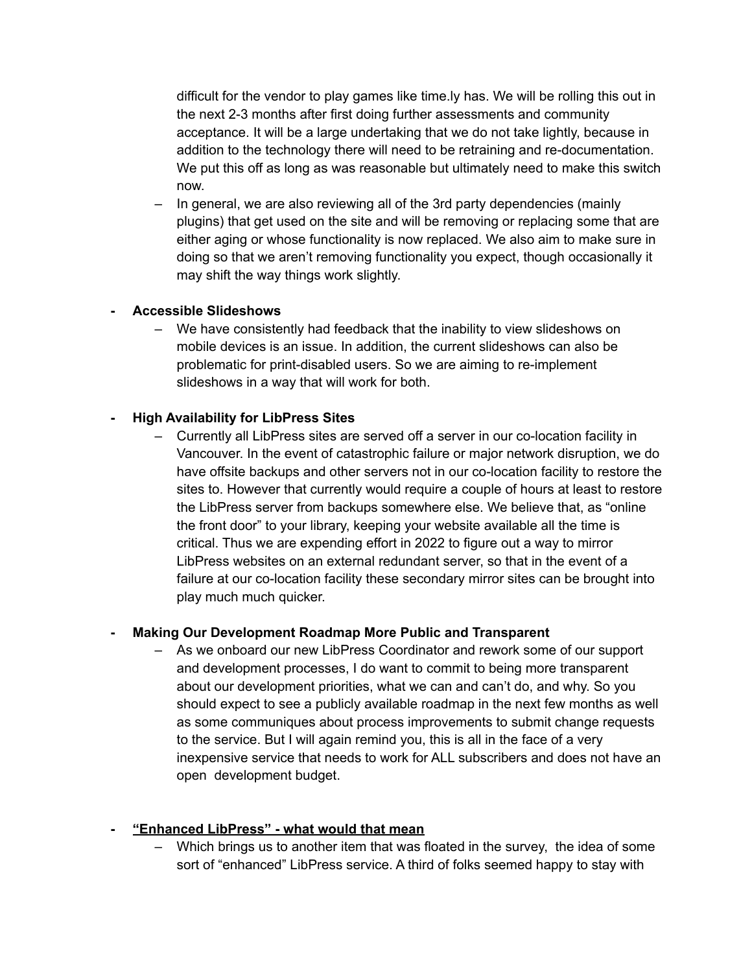difficult for the vendor to play games like time.ly has. We will be rolling this out in the next 2-3 months after first doing further assessments and community acceptance. It will be a large undertaking that we do not take lightly, because in addition to the technology there will need to be retraining and re-documentation. We put this off as long as was reasonable but ultimately need to make this switch now.

– In general, we are also reviewing all of the 3rd party dependencies (mainly plugins) that get used on the site and will be removing or replacing some that are either aging or whose functionality is now replaced. We also aim to make sure in doing so that we aren't removing functionality you expect, though occasionally it may shift the way things work slightly.

## **- Accessible Slideshows**

– We have consistently had feedback that the inability to view slideshows on mobile devices is an issue. In addition, the current slideshows can also be problematic for print-disabled users. So we are aiming to re-implement slideshows in a way that will work for both.

# **- High Availability for LibPress Sites**

– Currently all LibPress sites are served off a server in our co-location facility in Vancouver. In the event of catastrophic failure or major network disruption, we do have offsite backups and other servers not in our co-location facility to restore the sites to. However that currently would require a couple of hours at least to restore the LibPress server from backups somewhere else. We believe that, as "online the front door" to your library, keeping your website available all the time is critical. Thus we are expending effort in 2022 to figure out a way to mirror LibPress websites on an external redundant server, so that in the event of a failure at our co-location facility these secondary mirror sites can be brought into play much much quicker.

# **- Making Our Development Roadmap More Public and Transparent**

– As we onboard our new LibPress Coordinator and rework some of our support and development processes, I do want to commit to being more transparent about our development priorities, what we can and can't do, and why. So you should expect to see a publicly available roadmap in the next few months as well as some communiques about process improvements to submit change requests to the service. But I will again remind you, this is all in the face of a very inexpensive service that needs to work for ALL subscribers and does not have an open development budget.

# **- "Enhanced LibPress" - what would that mean**

– Which brings us to another item that was floated in the survey, the idea of some sort of "enhanced" LibPress service. A third of folks seemed happy to stay with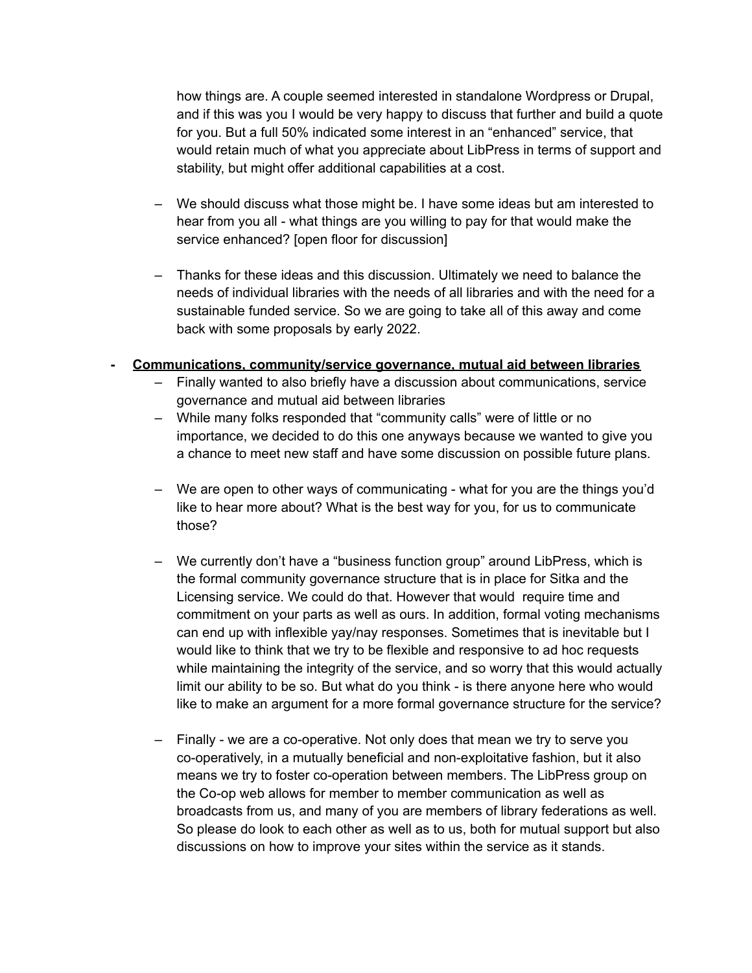how things are. A couple seemed interested in standalone Wordpress or Drupal, and if this was you I would be very happy to discuss that further and build a quote for you. But a full 50% indicated some interest in an "enhanced" service, that would retain much of what you appreciate about LibPress in terms of support and stability, but might offer additional capabilities at a cost.

- We should discuss what those might be. I have some ideas but am interested to hear from you all - what things are you willing to pay for that would make the service enhanced? [open floor for discussion]
- Thanks for these ideas and this discussion. Ultimately we need to balance the needs of individual libraries with the needs of all libraries and with the need for a sustainable funded service. So we are going to take all of this away and come back with some proposals by early 2022.
- **- Communications, community/service governance, mutual aid between libraries**
	- Finally wanted to also briefly have a discussion about communications, service governance and mutual aid between libraries
	- While many folks responded that "community calls" were of little or no importance, we decided to do this one anyways because we wanted to give you a chance to meet new staff and have some discussion on possible future plans.
	- We are open to other ways of communicating what for you are the things you'd like to hear more about? What is the best way for you, for us to communicate those?
	- We currently don't have a "business function group" around LibPress, which is the formal community governance structure that is in place for Sitka and the Licensing service. We could do that. However that would require time and commitment on your parts as well as ours. In addition, formal voting mechanisms can end up with inflexible yay/nay responses. Sometimes that is inevitable but I would like to think that we try to be flexible and responsive to ad hoc requests while maintaining the integrity of the service, and so worry that this would actually limit our ability to be so. But what do you think - is there anyone here who would like to make an argument for a more formal governance structure for the service?
	- Finally we are a co-operative. Not only does that mean we try to serve you co-operatively, in a mutually beneficial and non-exploitative fashion, but it also means we try to foster co-operation between members. The LibPress group on the Co-op web allows for member to member communication as well as broadcasts from us, and many of you are members of library federations as well. So please do look to each other as well as to us, both for mutual support but also discussions on how to improve your sites within the service as it stands.